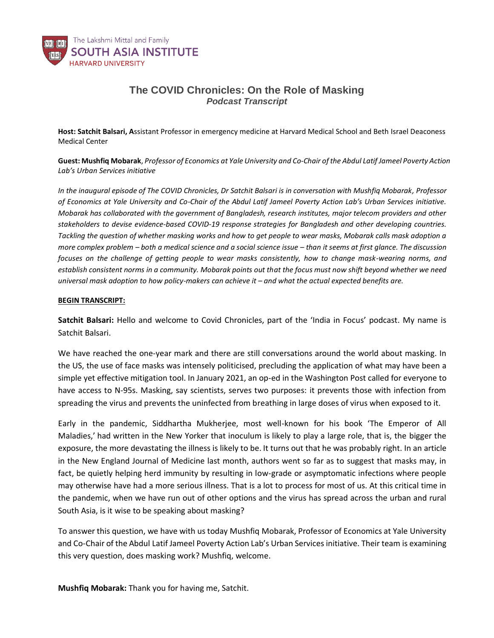

## **The COVID Chronicles: On the Role of Masking** *Podcast Transcript*

**Host: Satchit Balsari, A**ssistant Professor in emergency medicine at Harvard Medical School and Beth Israel Deaconess Medical Center

Guest: Mushfiq Mobarak, Professor of Economics at Yale University and Co-Chair of the Abdul Latif Jameel Poverty Action *Lab's Urban Services initiative*

*In the inaugural episode of The COVID Chronicles, Dr Satchit Balsari is in conversation with Mushfiq Mobarak, Professor of Economics at Yale University and Co-Chair of the Abdul Latif Jameel Poverty Action Lab's Urban Services initiative. Mobarak has collaborated with the government of Bangladesh, research institutes, major telecom providers and other stakeholders to devise evidence-based COVID-19 response strategies for Bangladesh and other developing countries. Tackling the question of whether masking works and how to get people to wear masks, Mobarak calls mask adoption a more complex problem – both a medical science and a social science issue – than it seems at first glance. The discussion focuses on the challenge of getting people to wear masks consistently, how to change mask-wearing norms, and establish consistent norms in a community. Mobarak points out that the focus must now shift beyond whether we need universal mask adoption to how policy-makers can achieve it – and what the actual expected benefits are.* 

## **BEGIN TRANSCRIPT:**

**Satchit Balsari:** Hello and welcome to Covid Chronicles, part of the 'India in Focus' podcast. My name is Satchit Balsari.

We have reached the one-year mark and there are still conversations around the world about masking. In the US, the use of face masks was intensely politicised, precluding the application of what may have been a simple yet effective mitigation tool. In January 2021, an op-ed in the Washington Post called for everyone to have access to N-95s. Masking, say scientists, serves two purposes: it prevents those with infection from spreading the virus and prevents the uninfected from breathing in large doses of virus when exposed to it.

Early in the pandemic, Siddhartha Mukherjee, most well-known for his book 'The Emperor of All Maladies,' had written in the New Yorker that inoculum is likely to play a large role, that is, the bigger the exposure, the more devastating the illness is likely to be. It turns out that he was probably right. In an article in the New England Journal of Medicine last month, authors went so far as to suggest that masks may, in fact, be quietly helping herd immunity by resulting in low-grade or asymptomatic infections where people may otherwise have had a more serious illness. That is a lot to process for most of us. At this critical time in the pandemic, when we have run out of other options and the virus has spread across the urban and rural South Asia, is it wise to be speaking about masking?

To answer this question, we have with us today Mushfiq Mobarak, Professor of Economics at Yale University and Co-Chair of the Abdul Latif Jameel Poverty Action Lab's Urban Services initiative. Their team is examining this very question, does masking work? Mushfiq, welcome.

**Mushfiq Mobarak:** Thank you for having me, Satchit.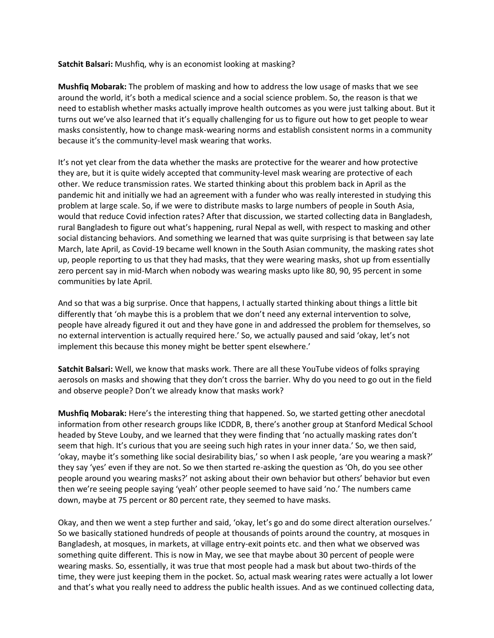**Satchit Balsari:** Mushfiq, why is an economist looking at masking?

**Mushfiq Mobarak:** The problem of masking and how to address the low usage of masks that we see around the world, it's both a medical science and a social science problem. So, the reason is that we need to establish whether masks actually improve health outcomes as you were just talking about. But it turns out we've also learned that it's equally challenging for us to figure out how to get people to wear masks consistently, how to change mask-wearing norms and establish consistent norms in a community because it's the community-level mask wearing that works.

It's not yet clear from the data whether the masks are protective for the wearer and how protective they are, but it is quite widely accepted that community-level mask wearing are protective of each other. We reduce transmission rates. We started thinking about this problem back in April as the pandemic hit and initially we had an agreement with a funder who was really interested in studying this problem at large scale. So, if we were to distribute masks to large numbers of people in South Asia, would that reduce Covid infection rates? After that discussion, we started collecting data in Bangladesh, rural Bangladesh to figure out what's happening, rural Nepal as well, with respect to masking and other social distancing behaviors. And something we learned that was quite surprising is that between say late March, late April, as Covid-19 became well known in the South Asian community, the masking rates shot up, people reporting to us that they had masks, that they were wearing masks, shot up from essentially zero percent say in mid-March when nobody was wearing masks upto like 80, 90, 95 percent in some communities by late April.

And so that was a big surprise. Once that happens, I actually started thinking about things a little bit differently that 'oh maybe this is a problem that we don't need any external intervention to solve, people have already figured it out and they have gone in and addressed the problem for themselves, so no external intervention is actually required here.' So, we actually paused and said 'okay, let's not implement this because this money might be better spent elsewhere.'

**Satchit Balsari:** Well, we know that masks work. There are all these YouTube videos of folks spraying aerosols on masks and showing that they don't cross the barrier. Why do you need to go out in the field and observe people? Don't we already know that masks work?

**Mushfiq Mobarak:** Here's the interesting thing that happened. So, we started getting other anecdotal information from other research groups like ICDDR, B, there's another group at Stanford Medical School headed by Steve Louby, and we learned that they were finding that 'no actually masking rates don't seem that high. It's curious that you are seeing such high rates in your inner data.' So, we then said, 'okay, maybe it's something like social desirability bias,' so when I ask people, 'are you wearing a mask?' they say 'yes' even if they are not. So we then started re-asking the question as 'Oh, do you see other people around you wearing masks?' not asking about their own behavior but others' behavior but even then we're seeing people saying 'yeah' other people seemed to have said 'no.' The numbers came down, maybe at 75 percent or 80 percent rate, they seemed to have masks.

Okay, and then we went a step further and said, 'okay, let's go and do some direct alteration ourselves.' So we basically stationed hundreds of people at thousands of points around the country, at mosques in Bangladesh, at mosques, in markets, at village entry-exit points etc. and then what we observed was something quite different. This is now in May, we see that maybe about 30 percent of people were wearing masks. So, essentially, it was true that most people had a mask but about two-thirds of the time, they were just keeping them in the pocket. So, actual mask wearing rates were actually a lot lower and that's what you really need to address the public health issues. And as we continued collecting data,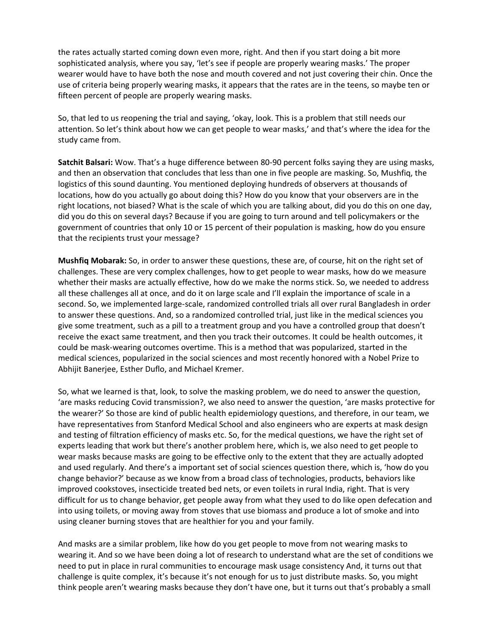the rates actually started coming down even more, right. And then if you start doing a bit more sophisticated analysis, where you say, 'let's see if people are properly wearing masks.' The proper wearer would have to have both the nose and mouth covered and not just covering their chin. Once the use of criteria being properly wearing masks, it appears that the rates are in the teens, so maybe ten or fifteen percent of people are properly wearing masks.

So, that led to us reopening the trial and saying, 'okay, look. This is a problem that still needs our attention. So let's think about how we can get people to wear masks,' and that's where the idea for the study came from.

**Satchit Balsari:** Wow. That's a huge difference between 80-90 percent folks saying they are using masks, and then an observation that concludes that less than one in five people are masking. So, Mushfiq, the logistics of this sound daunting. You mentioned deploying hundreds of observers at thousands of locations, how do you actually go about doing this? How do you know that your observers are in the right locations, not biased? What is the scale of which you are talking about, did you do this on one day, did you do this on several days? Because if you are going to turn around and tell policymakers or the government of countries that only 10 or 15 percent of their population is masking, how do you ensure that the recipients trust your message?

**Mushfiq Mobarak:** So, in order to answer these questions, these are, of course, hit on the right set of challenges. These are very complex challenges, how to get people to wear masks, how do we measure whether their masks are actually effective, how do we make the norms stick. So, we needed to address all these challenges all at once, and do it on large scale and I'll explain the importance of scale in a second. So, we implemented large-scale, randomized controlled trials all over rural Bangladesh in order to answer these questions. And, so a randomized controlled trial, just like in the medical sciences you give some treatment, such as a pill to a treatment group and you have a controlled group that doesn't receive the exact same treatment, and then you track their outcomes. It could be health outcomes, it could be mask-wearing outcomes overtime. This is a method that was popularized, started in the medical sciences, popularized in the social sciences and most recently honored with a Nobel Prize to Abhijit Banerjee, Esther Duflo, and Michael Kremer.

So, what we learned is that, look, to solve the masking problem, we do need to answer the question, 'are masks reducing Covid transmission?, we also need to answer the question, 'are masks protective for the wearer?' So those are kind of public health epidemiology questions, and therefore, in our team, we have representatives from Stanford Medical School and also engineers who are experts at mask design and testing of filtration efficiency of masks etc. So, for the medical questions, we have the right set of experts leading that work but there's another problem here, which is, we also need to get people to wear masks because masks are going to be effective only to the extent that they are actually adopted and used regularly. And there's a important set of social sciences question there, which is, 'how do you change behavior?' because as we know from a broad class of technologies, products, behaviors like improved cookstoves, insecticide treated bed nets, or even toilets in rural India, right. That is very difficult for us to change behavior, get people away from what they used to do like open defecation and into using toilets, or moving away from stoves that use biomass and produce a lot of smoke and into using cleaner burning stoves that are healthier for you and your family.

And masks are a similar problem, like how do you get people to move from not wearing masks to wearing it. And so we have been doing a lot of research to understand what are the set of conditions we need to put in place in rural communities to encourage mask usage consistency And, it turns out that challenge is quite complex, it's because it's not enough for us to just distribute masks. So, you might think people aren't wearing masks because they don't have one, but it turns out that's probably a small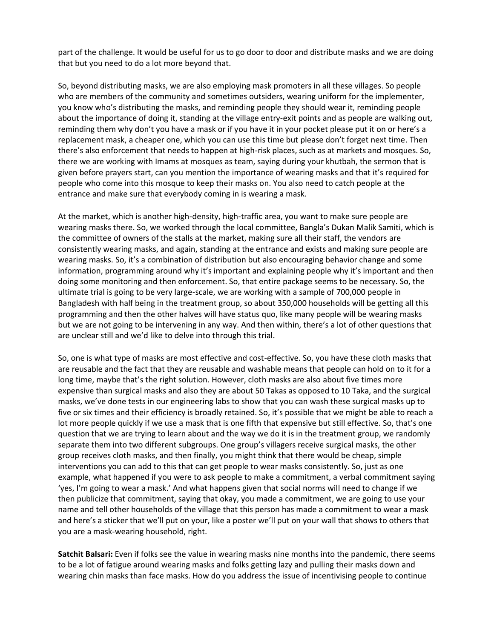part of the challenge. It would be useful for us to go door to door and distribute masks and we are doing that but you need to do a lot more beyond that.

So, beyond distributing masks, we are also employing mask promoters in all these villages. So people who are members of the community and sometimes outsiders, wearing uniform for the implementer, you know who's distributing the masks, and reminding people they should wear it, reminding people about the importance of doing it, standing at the village entry-exit points and as people are walking out, reminding them why don't you have a mask or if you have it in your pocket please put it on or here's a replacement mask, a cheaper one, which you can use this time but please don't forget next time. Then there's also enforcement that needs to happen at high-risk places, such as at markets and mosques. So, there we are working with Imams at mosques as team, saying during your khutbah, the sermon that is given before prayers start, can you mention the importance of wearing masks and that it's required for people who come into this mosque to keep their masks on. You also need to catch people at the entrance and make sure that everybody coming in is wearing a mask.

At the market, which is another high-density, high-traffic area, you want to make sure people are wearing masks there. So, we worked through the local committee, Bangla's Dukan Malik Samiti, which is the committee of owners of the stalls at the market, making sure all their staff, the vendors are consistently wearing masks, and again, standing at the entrance and exists and making sure people are wearing masks. So, it's a combination of distribution but also encouraging behavior change and some information, programming around why it's important and explaining people why it's important and then doing some monitoring and then enforcement. So, that entire package seems to be necessary. So, the ultimate trial is going to be very large-scale, we are working with a sample of 700,000 people in Bangladesh with half being in the treatment group, so about 350,000 households will be getting all this programming and then the other halves will have status quo, like many people will be wearing masks but we are not going to be intervening in any way. And then within, there's a lot of other questions that are unclear still and we'd like to delve into through this trial.

So, one is what type of masks are most effective and cost-effective. So, you have these cloth masks that are reusable and the fact that they are reusable and washable means that people can hold on to it for a long time, maybe that's the right solution. However, cloth masks are also about five times more expensive than surgical masks and also they are about 50 Takas as opposed to 10 Taka, and the surgical masks, we've done tests in our engineering labs to show that you can wash these surgical masks up to five or six times and their efficiency is broadly retained. So, it's possible that we might be able to reach a lot more people quickly if we use a mask that is one fifth that expensive but still effective. So, that's one question that we are trying to learn about and the way we do it is in the treatment group, we randomly separate them into two different subgroups. One group's villagers receive surgical masks, the other group receives cloth masks, and then finally, you might think that there would be cheap, simple interventions you can add to this that can get people to wear masks consistently. So, just as one example, what happened if you were to ask people to make a commitment, a verbal commitment saying 'yes, I'm going to wear a mask.' And what happens given that social norms will need to change if we then publicize that commitment, saying that okay, you made a commitment, we are going to use your name and tell other households of the village that this person has made a commitment to wear a mask and here's a sticker that we'll put on your, like a poster we'll put on your wall that shows to others that you are a mask-wearing household, right.

**Satchit Balsari:** Even if folks see the value in wearing masks nine months into the pandemic, there seems to be a lot of fatigue around wearing masks and folks getting lazy and pulling their masks down and wearing chin masks than face masks. How do you address the issue of incentivising people to continue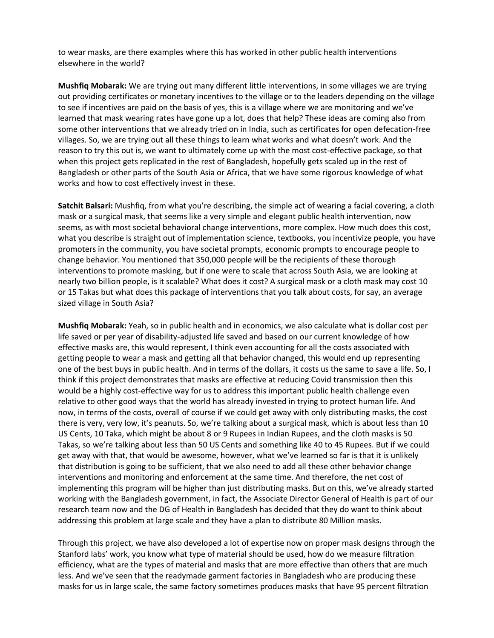to wear masks, are there examples where this has worked in other public health interventions elsewhere in the world?

**Mushfiq Mobarak:** We are trying out many different little interventions, in some villages we are trying out providing certificates or monetary incentives to the village or to the leaders depending on the village to see if incentives are paid on the basis of yes, this is a village where we are monitoring and we've learned that mask wearing rates have gone up a lot, does that help? These ideas are coming also from some other interventions that we already tried on in India, such as certificates for open defecation-free villages. So, we are trying out all these things to learn what works and what doesn't work. And the reason to try this out is, we want to ultimately come up with the most cost-effective package, so that when this project gets replicated in the rest of Bangladesh, hopefully gets scaled up in the rest of Bangladesh or other parts of the South Asia or Africa, that we have some rigorous knowledge of what works and how to cost effectively invest in these.

**Satchit Balsari:** Mushfiq, from what you're describing, the simple act of wearing a facial covering, a cloth mask or a surgical mask, that seems like a very simple and elegant public health intervention, now seems, as with most societal behavioral change interventions, more complex. How much does this cost, what you describe is straight out of implementation science, textbooks, you incentivize people, you have promoters in the community, you have societal prompts, economic prompts to encourage people to change behavior. You mentioned that 350,000 people will be the recipients of these thorough interventions to promote masking, but if one were to scale that across South Asia, we are looking at nearly two billion people, is it scalable? What does it cost? A surgical mask or a cloth mask may cost 10 or 15 Takas but what does this package of interventions that you talk about costs, for say, an average sized village in South Asia?

**Mushfiq Mobarak:** Yeah, so in public health and in economics, we also calculate what is dollar cost per life saved or per year of disability-adjusted life saved and based on our current knowledge of how effective masks are, this would represent, I think even accounting for all the costs associated with getting people to wear a mask and getting all that behavior changed, this would end up representing one of the best buys in public health. And in terms of the dollars, it costs us the same to save a life. So, I think if this project demonstrates that masks are effective at reducing Covid transmission then this would be a highly cost-effective way for us to address this important public health challenge even relative to other good ways that the world has already invested in trying to protect human life. And now, in terms of the costs, overall of course if we could get away with only distributing masks, the cost there is very, very low, it's peanuts. So, we're talking about a surgical mask, which is about less than 10 US Cents, 10 Taka, which might be about 8 or 9 Rupees in Indian Rupees, and the cloth masks is 50 Takas, so we're talking about less than 50 US Cents and something like 40 to 45 Rupees. But if we could get away with that, that would be awesome, however, what we've learned so far is that it is unlikely that distribution is going to be sufficient, that we also need to add all these other behavior change interventions and monitoring and enforcement at the same time. And therefore, the net cost of implementing this program will be higher than just distributing masks. But on this, we've already started working with the Bangladesh government, in fact, the Associate Director General of Health is part of our research team now and the DG of Health in Bangladesh has decided that they do want to think about addressing this problem at large scale and they have a plan to distribute 80 Million masks.

Through this project, we have also developed a lot of expertise now on proper mask designs through the Stanford labs' work, you know what type of material should be used, how do we measure filtration efficiency, what are the types of material and masks that are more effective than others that are much less. And we've seen that the readymade garment factories in Bangladesh who are producing these masks for us in large scale, the same factory sometimes produces masks that have 95 percent filtration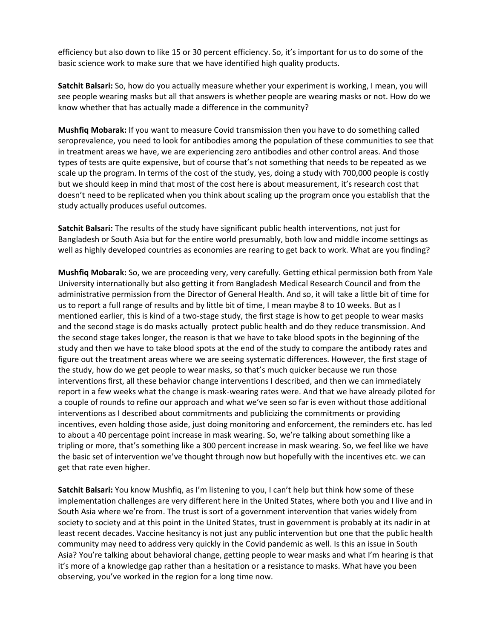efficiency but also down to like 15 or 30 percent efficiency. So, it's important for us to do some of the basic science work to make sure that we have identified high quality products.

**Satchit Balsari:** So, how do you actually measure whether your experiment is working, I mean, you will see people wearing masks but all that answers is whether people are wearing masks or not. How do we know whether that has actually made a difference in the community?

**Mushfiq Mobarak:** If you want to measure Covid transmission then you have to do something called seroprevalence, you need to look for antibodies among the population of these communities to see that in treatment areas we have, we are experiencing zero antibodies and other control areas. And those types of tests are quite expensive, but of course that's not something that needs to be repeated as we scale up the program. In terms of the cost of the study, yes, doing a study with 700,000 people is costly but we should keep in mind that most of the cost here is about measurement, it's research cost that doesn't need to be replicated when you think about scaling up the program once you establish that the study actually produces useful outcomes.

**Satchit Balsari:** The results of the study have significant public health interventions, not just for Bangladesh or South Asia but for the entire world presumably, both low and middle income settings as well as highly developed countries as economies are rearing to get back to work. What are you finding?

**Mushfiq Mobarak:** So, we are proceeding very, very carefully. Getting ethical permission both from Yale University internationally but also getting it from Bangladesh Medical Research Council and from the administrative permission from the Director of General Health. And so, it will take a little bit of time for us to report a full range of results and by little bit of time, I mean maybe 8 to 10 weeks. But as I mentioned earlier, this is kind of a two-stage study, the first stage is how to get people to wear masks and the second stage is do masks actually protect public health and do they reduce transmission. And the second stage takes longer, the reason is that we have to take blood spots in the beginning of the study and then we have to take blood spots at the end of the study to compare the antibody rates and figure out the treatment areas where we are seeing systematic differences. However, the first stage of the study, how do we get people to wear masks, so that's much quicker because we run those interventions first, all these behavior change interventions I described, and then we can immediately report in a few weeks what the change is mask-wearing rates were. And that we have already piloted for a couple of rounds to refine our approach and what we've seen so far is even without those additional interventions as I described about commitments and publicizing the commitments or providing incentives, even holding those aside, just doing monitoring and enforcement, the reminders etc. has led to about a 40 percentage point increase in mask wearing. So, we're talking about something like a tripling or more, that's something like a 300 percent increase in mask wearing. So, we feel like we have the basic set of intervention we've thought through now but hopefully with the incentives etc. we can get that rate even higher.

**Satchit Balsari:** You know Mushfiq, as I'm listening to you, I can't help but think how some of these implementation challenges are very different here in the United States, where both you and I live and in South Asia where we're from. The trust is sort of a government intervention that varies widely from society to society and at this point in the United States, trust in government is probably at its nadir in at least recent decades. Vaccine hesitancy is not just any public intervention but one that the public health community may need to address very quickly in the Covid pandemic as well. Is this an issue in South Asia? You're talking about behavioral change, getting people to wear masks and what I'm hearing is that it's more of a knowledge gap rather than a hesitation or a resistance to masks. What have you been observing, you've worked in the region for a long time now.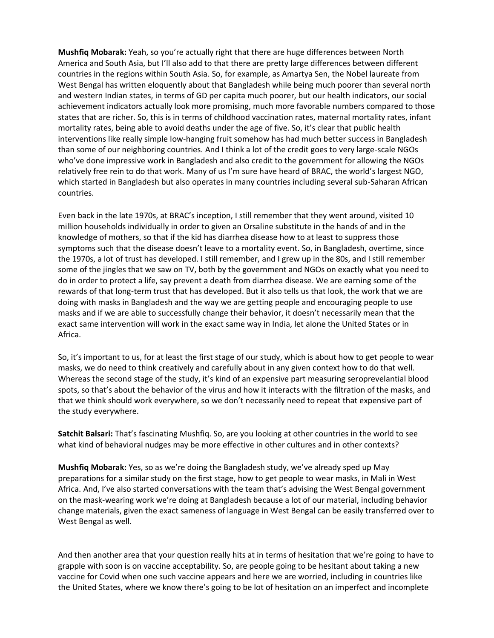**Mushfiq Mobarak:** Yeah, so you're actually right that there are huge differences between North America and South Asia, but I'll also add to that there are pretty large differences between different countries in the regions within South Asia. So, for example, as Amartya Sen, the Nobel laureate from West Bengal has written eloquently about that Bangladesh while being much poorer than several north and western Indian states, in terms of GD per capita much poorer, but our health indicators, our social achievement indicators actually look more promising, much more favorable numbers compared to those states that are richer. So, this is in terms of childhood vaccination rates, maternal mortality rates, infant mortality rates, being able to avoid deaths under the age of five. So, it's clear that public health interventions like really simple low-hanging fruit somehow has had much better success in Bangladesh than some of our neighboring countries. And I think a lot of the credit goes to very large-scale NGOs who've done impressive work in Bangladesh and also credit to the government for allowing the NGOs relatively free rein to do that work. Many of us I'm sure have heard of BRAC, the world's largest NGO, which started in Bangladesh but also operates in many countries including several sub-Saharan African countries.

Even back in the late 1970s, at BRAC's inception, I still remember that they went around, visited 10 million households individually in order to given an Orsaline substitute in the hands of and in the knowledge of mothers, so that if the kid has diarrhea disease how to at least to suppress those symptoms such that the disease doesn't leave to a mortality event. So, in Bangladesh, overtime, since the 1970s, a lot of trust has developed. I still remember, and I grew up in the 80s, and I still remember some of the jingles that we saw on TV, both by the government and NGOs on exactly what you need to do in order to protect a life, say prevent a death from diarrhea disease. We are earning some of the rewards of that long-term trust that has developed. But it also tells us that look, the work that we are doing with masks in Bangladesh and the way we are getting people and encouraging people to use masks and if we are able to successfully change their behavior, it doesn't necessarily mean that the exact same intervention will work in the exact same way in India, let alone the United States or in Africa.

So, it's important to us, for at least the first stage of our study, which is about how to get people to wear masks, we do need to think creatively and carefully about in any given context how to do that well. Whereas the second stage of the study, it's kind of an expensive part measuring seroprevelantial blood spots, so that's about the behavior of the virus and how it interacts with the filtration of the masks, and that we think should work everywhere, so we don't necessarily need to repeat that expensive part of the study everywhere.

**Satchit Balsari:** That's fascinating Mushfiq. So, are you looking at other countries in the world to see what kind of behavioral nudges may be more effective in other cultures and in other contexts?

**Mushfiq Mobarak:** Yes, so as we're doing the Bangladesh study, we've already sped up May preparations for a similar study on the first stage, how to get people to wear masks, in Mali in West Africa. And, I've also started conversations with the team that's advising the West Bengal government on the mask-wearing work we're doing at Bangladesh because a lot of our material, including behavior change materials, given the exact sameness of language in West Bengal can be easily transferred over to West Bengal as well.

And then another area that your question really hits at in terms of hesitation that we're going to have to grapple with soon is on vaccine acceptability. So, are people going to be hesitant about taking a new vaccine for Covid when one such vaccine appears and here we are worried, including in countries like the United States, where we know there's going to be lot of hesitation on an imperfect and incomplete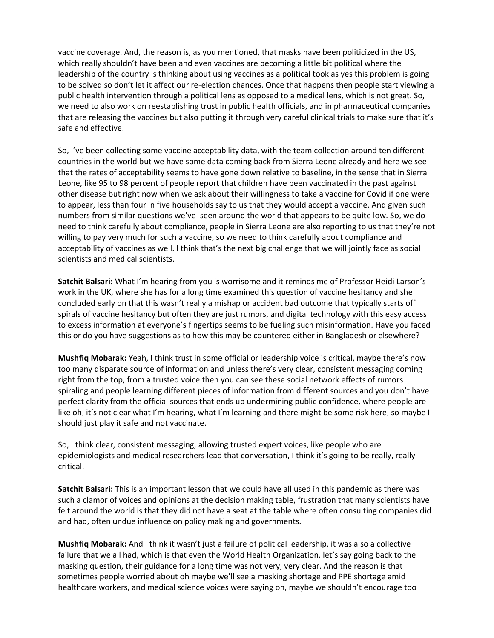vaccine coverage. And, the reason is, as you mentioned, that masks have been politicized in the US, which really shouldn't have been and even vaccines are becoming a little bit political where the leadership of the country is thinking about using vaccines as a political took as yes this problem is going to be solved so don't let it affect our re-election chances. Once that happens then people start viewing a public health intervention through a political lens as opposed to a medical lens, which is not great. So, we need to also work on reestablishing trust in public health officials, and in pharmaceutical companies that are releasing the vaccines but also putting it through very careful clinical trials to make sure that it's safe and effective.

So, I've been collecting some vaccine acceptability data, with the team collection around ten different countries in the world but we have some data coming back from Sierra Leone already and here we see that the rates of acceptability seems to have gone down relative to baseline, in the sense that in Sierra Leone, like 95 to 98 percent of people report that children have been vaccinated in the past against other disease but right now when we ask about their willingness to take a vaccine for Covid if one were to appear, less than four in five households say to us that they would accept a vaccine. And given such numbers from similar questions we've seen around the world that appears to be quite low. So, we do need to think carefully about compliance, people in Sierra Leone are also reporting to us that they're not willing to pay very much for such a vaccine, so we need to think carefully about compliance and acceptability of vaccines as well. I think that's the next big challenge that we will jointly face as social scientists and medical scientists.

**Satchit Balsari:** What I'm hearing from you is worrisome and it reminds me of Professor Heidi Larson's work in the UK, where she has for a long time examined this question of vaccine hesitancy and she concluded early on that this wasn't really a mishap or accident bad outcome that typically starts off spirals of vaccine hesitancy but often they are just rumors, and digital technology with this easy access to excess information at everyone's fingertips seems to be fueling such misinformation. Have you faced this or do you have suggestions as to how this may be countered either in Bangladesh or elsewhere?

**Mushfiq Mobarak:** Yeah, I think trust in some official or leadership voice is critical, maybe there's now too many disparate source of information and unless there's very clear, consistent messaging coming right from the top, from a trusted voice then you can see these social network effects of rumors spiraling and people learning different pieces of information from different sources and you don't have perfect clarity from the official sources that ends up undermining public confidence, where people are like oh, it's not clear what I'm hearing, what I'm learning and there might be some risk here, so maybe I should just play it safe and not vaccinate.

So, I think clear, consistent messaging, allowing trusted expert voices, like people who are epidemiologists and medical researchers lead that conversation, I think it's going to be really, really critical.

**Satchit Balsari:** This is an important lesson that we could have all used in this pandemic as there was such a clamor of voices and opinions at the decision making table, frustration that many scientists have felt around the world is that they did not have a seat at the table where often consulting companies did and had, often undue influence on policy making and governments.

**Mushfiq Mobarak:** And I think it wasn't just a failure of political leadership, it was also a collective failure that we all had, which is that even the World Health Organization, let's say going back to the masking question, their guidance for a long time was not very, very clear. And the reason is that sometimes people worried about oh maybe we'll see a masking shortage and PPE shortage amid healthcare workers, and medical science voices were saying oh, maybe we shouldn't encourage too